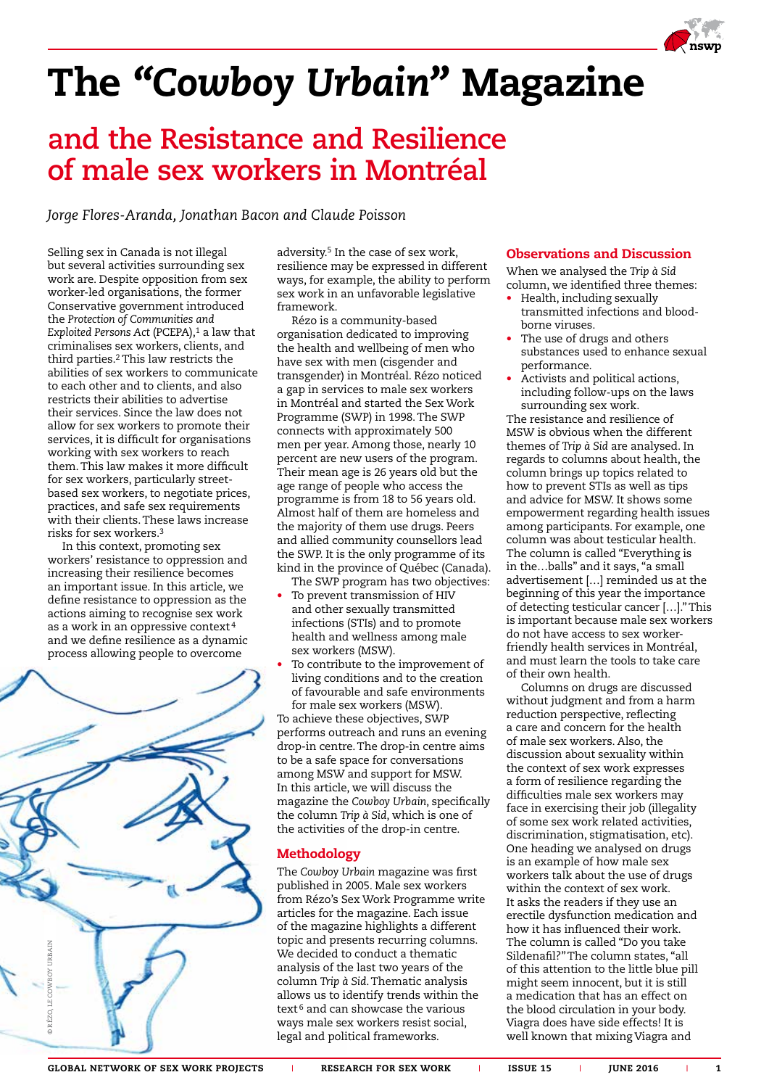

# The *"Cowboy Urbain"* Magazine

### **and the Resistance and Resilience of male sex workers in Montréal**

*Jorge Flores-Aranda, Jonathan Bacon and Claude Poisson*

Selling sex in Canada is not illegal but several activities surrounding sex work are. Despite opposition from sex worker-led organisations, the former Conservative government introduced the *Protection of Communities and Exploited Persons Act* (PCEPA),<sup>1</sup> a law that criminalises sex workers, clients, and third parties.2 This law restricts the abilities of sex workers to communicate to each other and to clients, and also restricts their abilities to advertise their services. Since the law does not allow for sex workers to promote their services, it is difficult for organisations working with sex workers to reach them. This law makes it more difficult for sex workers, particularly streetbased sex workers, to negotiate prices, practices, and safe sex requirements with their clients. These laws increase risks for sex workers.3

In this context, promoting sex workers' resistance to oppression and increasing their resilience becomes an important issue. In this article, we define resistance to oppression as the actions aiming to recognise sex work as a work in an oppressive context <sup>4</sup> and we define resilience as a dynamic process allowing people to overcome



adversity.<sup>5</sup> In the case of sex work, resilience may be expressed in different ways, for example, the ability to perform sex work in an unfavorable legislative framework.

Rézo is a community-based organisation dedicated to improving the health and wellbeing of men who have sex with men (cisgender and transgender) in Montréal. Rézo noticed a gap in services to male sex workers in Montréal and started the Sex Work Programme (SWP) in 1998. The SWP connects with approximately 500 men per year. Among those, nearly 10 percent are new users of the program. Their mean age is 26 years old but the age range of people who access the programme is from 18 to 56 years old. Almost half of them are homeless and the majority of them use drugs. Peers and allied community counsellors lead the SWP. It is the only programme of its kind in the province of Québec (Canada).

- The SWP program has two objectives: To prevent transmission of HIV and other sexually transmitted infections (STIs) and to promote health and wellness among male sex workers (MSW).
- To contribute to the improvement of living conditions and to the creation of favourable and safe environments for male sex workers (MSW).

To achieve these objectives, SWP performs outreach and runs an evening drop-in centre. The drop-in centre aims to be a safe space for conversations among MSW and support for MSW. In this article, we will discuss the magazine the *Cowboy Urbain*, specifically the column *Trip à Sid*, which is one of the activities of the drop-in centre.

### Methodology

The *Cowboy Urbain* magazine was first published in 2005. Male sex workers from Rézo's Sex Work Programme write articles for the magazine. Each issue of the magazine highlights a different topic and presents recurring columns. We decided to conduct a thematic analysis of the last two years of the column *Trip à Sid*. Thematic analysis allows us to identify trends within the text<sup>6</sup> and can showcase the various ways male sex workers resist social, legal and political frameworks.

#### Observations and Discussion

When we analysed the *Trip à Sid* column, we identified three themes:

- Health, including sexually transmitted infections and bloodborne viruses.
- The use of drugs and others substances used to enhance sexual performance.
- Activists and political actions, including follow-ups on the laws surrounding sex work.

The resistance and resilience of MSW is obvious when the different themes of *Trip à Sid* are analysed. In regards to columns about health, the column brings up topics related to how to prevent STIs as well as tips and advice for MSW. It shows some empowerment regarding health issues among participants. For example, one column was about testicular health. The column is called "Everything is in the…balls" and it says, "a small advertisement […] reminded us at the beginning of this year the importance of detecting testicular cancer […]." This is important because male sex workers do not have access to sex workerfriendly health services in Montréal, and must learn the tools to take care of their own health.

Columns on drugs are discussed without judgment and from a harm reduction perspective, reflecting a care and concern for the health of male sex workers. Also, the discussion about sexuality within the context of sex work expresses a form of resilience regarding the difficulties male sex workers may face in exercising their job (illegality of some sex work related activities, discrimination, stigmatisation, etc). One heading we analysed on drugs is an example of how male sex workers talk about the use of drugs within the context of sex work. It asks the readers if they use an erectile dysfunction medication and how it has influenced their work. The column is called "Do you take Sildenafil?" The column states, "all of this attention to the little blue pill might seem innocent, but it is still a medication that has an effect on the blood circulation in your body. Viagra does have side effects! It is well known that mixing Viagra and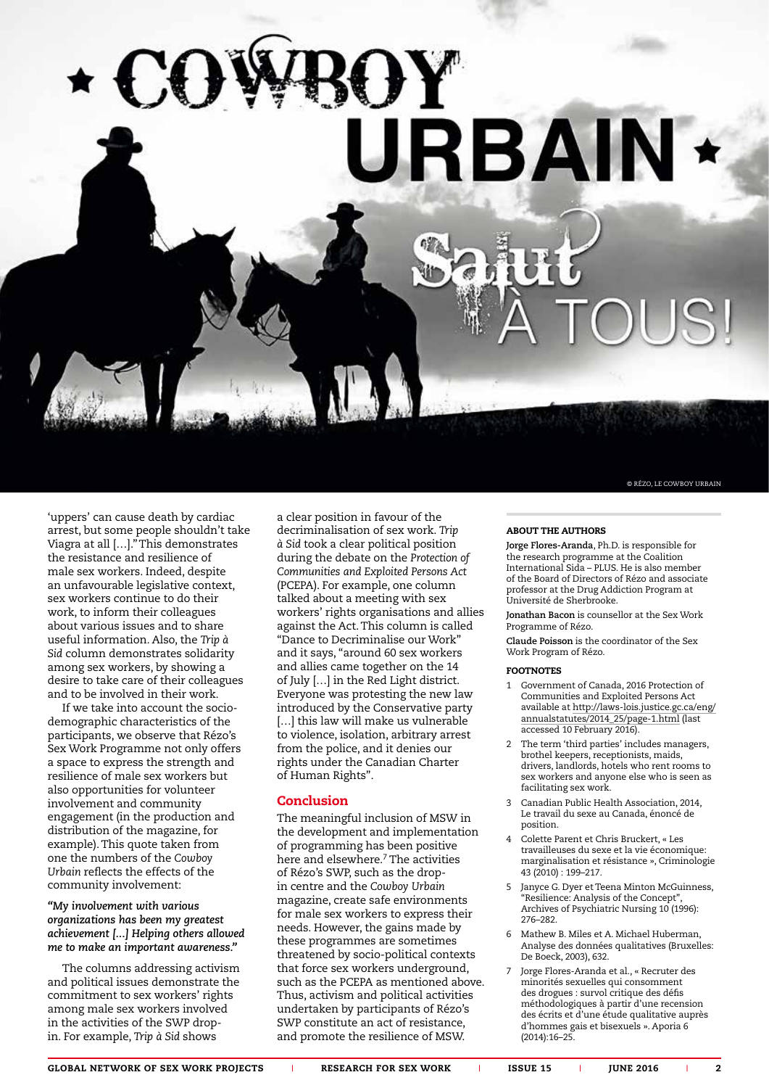**URBAIN \*** 

'uppers' can cause death by cardiac arrest, but some people shouldn't take Viagra at all […]." This demonstrates the resistance and resilience of male sex workers. Indeed, despite an unfavourable legislative context, sex workers continue to do their work, to inform their colleagues about various issues and to share useful information. Also, the *Trip à Sid* column demonstrates solidarity among sex workers, by showing a desire to take care of their colleagues and to be involved in their work.

If we take into account the sociodemographic characteristics of the participants, we observe that Rézo's Sex Work Programme not only offers a space to express the strength and resilience of male sex workers but also opportunities for volunteer involvement and community engagement (in the production and distribution of the magazine, for example). This quote taken from one the numbers of the *Cowboy Urbain* reflects the effects of the community involvement:

#### *"My involvement with various organizations has been my greatest achievement [...] Helping others allowed me to make an important awareness."*

The columns addressing activism and political issues demonstrate the commitment to sex workers' rights among male sex workers involved in the activities of the SWP dropin. For example, *Trip à Sid* shows

a clear position in favour of the decriminalisation of sex work. *Trip à Sid* took a clear political position during the debate on the *Protection of Communities and Exploited Persons Act* (PCEPA). For example, one column talked about a meeting with sex workers' rights organisations and allies against the Act. This column is called "Dance to Decriminalise our Work" and it says, "around 60 sex workers and allies came together on the 14 of July […] in the Red Light district. Everyone was protesting the new law introduced by the Conservative party [...] this law will make us vulnerable to violence, isolation, arbitrary arrest from the police, and it denies our rights under the Canadian Charter of Human Rights".

#### Conclusion

The meaningful inclusion of MSW in the development and implementation of programming has been positive here and elsewhere.<sup>7</sup> The activities of Rézo's SWP, such as the dropin centre and the *Cowboy Urbain* magazine, create safe environments for male sex workers to express their needs. However, the gains made by these programmes are sometimes threatened by socio-political contexts that force sex workers underground, such as the PCEPA as mentioned above. Thus, activism and political activities undertaken by participants of Rézo's SWP constitute an act of resistance, and promote the resilience of MSW.

© RÉZO, LE COWBOY URBAIN

#### ABOUT THE AUTHORS

**Jorge Flores-Aranda**, Ph.D. is responsible for the research programme at the Coalition International Sida – PLUS. He is also member of the Board of Directors of Rézo and associate professor at the Drug Addiction Program at Université de Sherbrooke.

**Jonathan Bacon** is counsellor at the Sex Work .<br>Programme of Rézo.

**Claude Poisson** is the coordinator of the Sex Work Program of Rézo.

#### FOOTNOTES

- 1 Government of Canada, 2016 Protection of Communities and Exploited Persons Act available at http://laws-lois.justice.gc.ca/eng/ annualstatutes/2014\_25/page-1.html (last accessed 10 February 2016).
- 2 The term 'third parties' includes managers, brothel keepers, receptionists, maids, drivers, landlords, hotels who rent rooms to sex workers and anyone else who is seen as facilitating sex work.
- 3 Canadian Public Health Association, 2014, Le travail du sexe au Canada, énoncé de position.
- 4 Colette Parent et Chris Bruckert, « Les travailleuses du sexe et la vie économique: marginalisation et résistance », Criminologie 43 (2010) : 199–217.
- 5 Janyce G. Dyer et Teena Minton McGuinness, "Resilience: Analysis of the Concept", Archives of Psychiatric Nursing 10 (1996): 276–282.
- 6 Mathew B. Miles et A. Michael Huberman, Analyse des données qualitatives (Bruxelles: De Boeck, 2003), 632.
- 7 Jorge Flores-Aranda et al., « Recruter des minorités sexuelles qui consomment des drogues : survol critique des défis méthodologiques à partir d'une recension des écrits et d'une étude qualitative auprès d'hommes gais et bisexuels ». Aporia 6 (2014):16–25.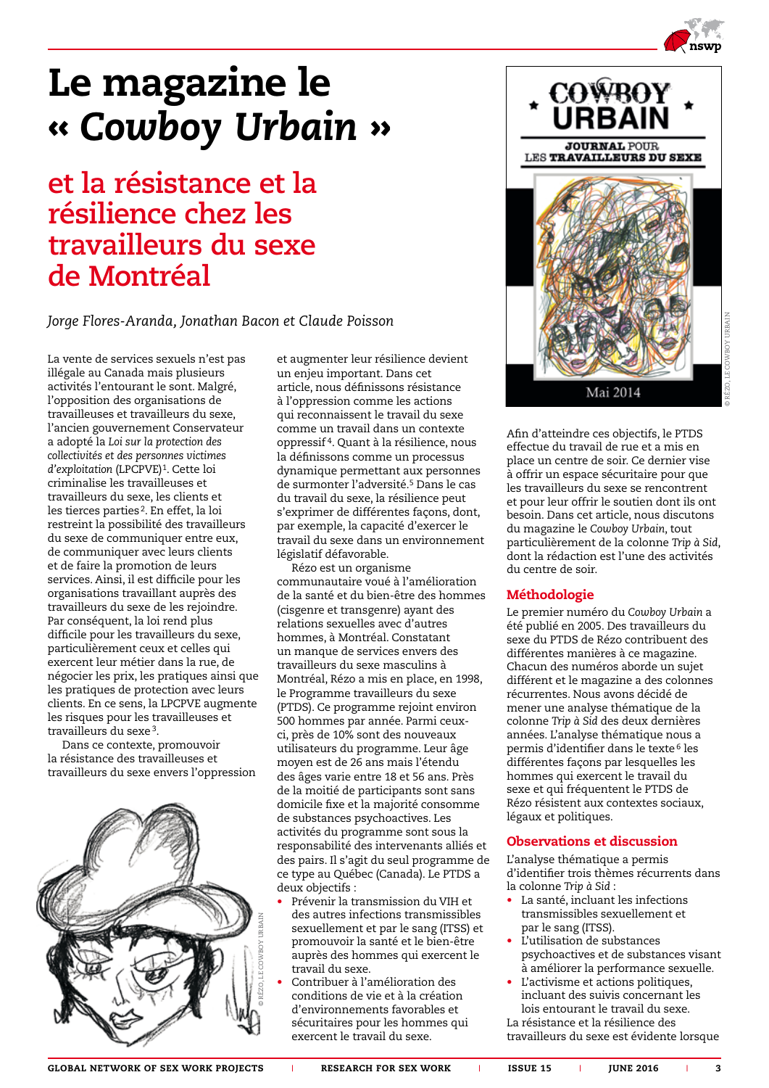

## Le magazine le « *Cowboy Urbain* »

**et la résistance et la résilience chez les travailleurs du sexe de Montréal**

*Jorge Flores-Aranda, Jonathan Bacon et Claude Poisson*

La vente de services sexuels n'est pas illégale au Canada mais plusieurs activités l'entourant le sont. Malgré, l'opposition des organisations de travailleuses et travailleurs du sexe, l'ancien gouvernement Conservateur a adopté la *Loi sur la protection des collectivités et des personnes victimes d'exploitation* (LPCPVE)1. Cette loi criminalise les travailleuses et travailleurs du sexe, les clients et les tierces parties 2. En effet, la loi restreint la possibilité des travailleurs du sexe de communiquer entre eux, de communiquer avec leurs clients et de faire la promotion de leurs services. Ainsi, il est difficile pour les organisations travaillant auprès des travailleurs du sexe de les rejoindre. Par conséquent, la loi rend plus difficile pour les travailleurs du sexe, particulièrement ceux et celles qui exercent leur métier dans la rue, de négocier les prix, les pratiques ainsi que les pratiques de protection avec leurs clients. En ce sens, la LPCPVE augmente les risques pour les travailleuses et travailleurs du sexe<sup>3</sup>.

Dans ce contexte, promouvoir la résistance des travailleuses et travailleurs du sexe envers l'oppression



et augmenter leur résilience devient un enjeu important. Dans cet article, nous définissons résistance à l'oppression comme les actions qui reconnaissent le travail du sexe comme un travail dans un contexte oppressif 4. Quant à la résilience, nous la définissons comme un processus dynamique permettant aux personnes de surmonter l'adversité.5 Dans le cas du travail du sexe, la résilience peut s'exprimer de différentes façons, dont, par exemple, la capacité d'exercer le travail du sexe dans un environnement législatif défavorable.

Rézo est un organisme communautaire voué à l'amélioration de la santé et du bien-être des hommes (cisgenre et transgenre) ayant des relations sexuelles avec d'autres hommes, à Montréal. Constatant un manque de services envers des travailleurs du sexe masculins à Montréal, Rézo a mis en place, en 1998, le Programme travailleurs du sexe (PTDS). Ce programme rejoint environ 500 hommes par année. Parmi ceuxci, près de 10% sont des nouveaux utilisateurs du programme. Leur âge moyen est de 26 ans mais l'étendu des âges varie entre 18 et 56 ans. Près de la moitié de participants sont sans domicile fixe et la majorité consomme de substances psychoactives. Les activités du programme sont sous la responsabilité des intervenants alliés et des pairs. Il s'agit du seul programme de ce type au Québec (Canada). Le PTDS a deux objectifs :

- Prévenir la transmission du VIH et des autres infections transmissibles sexuellement et par le sang (ITSS) et promouvoir la santé et le bien-être auprès des hommes qui exercent le travail du sexe.
- Contribuer à l'amélioration des conditions de vie et à la création d'environnements favorables et sécuritaires pour les hommes qui exercent le travail du sexe.



Afin d'atteindre ces objectifs, le PTDS effectue du travail de rue et a mis en place un centre de soir. Ce dernier vise à offrir un espace sécuritaire pour que les travailleurs du sexe se rencontrent et pour leur offrir le soutien dont ils ont besoin. Dans cet article, nous discutons du magazine le *Cowboy Urbain*, tout particulièrement de la colonne *Trip à Sid*, dont la rédaction est l'une des activités du centre de soir.

#### Méthodologie

Le premier numéro du *Cowboy Urbain* a été publié en 2005. Des travailleurs du sexe du PTDS de Rézo contribuent des différentes manières à ce magazine. Chacun des numéros aborde un sujet différent et le magazine a des colonnes récurrentes. Nous avons décidé de mener une analyse thématique de la colonne *Trip à Sid* des deux dernières années. L'analyse thématique nous a permis d'identifier dans le texte<sup>6</sup> les différentes façons par lesquelles les hommes qui exercent le travail du sexe et qui fréquentent le PTDS de Rézo résistent aux contextes sociaux, légaux et politiques.

#### Observations et discussion

L'analyse thématique a permis d'identifier trois thèmes récurrents dans la colonne *Trip à Sid* :

- La santé, incluant les infections transmissibles sexuellement et par le sang (ITSS).
- L'utilisation de substances psychoactives et de substances visant à améliorer la performance sexuelle.
- L'activisme et actions politiques, incluant des suivis concernant les lois entourant le travail du sexe. La résistance et la résilience des

travailleurs du sexe est évidente lorsque

© RÉZO, LE COWBOY URBAIN